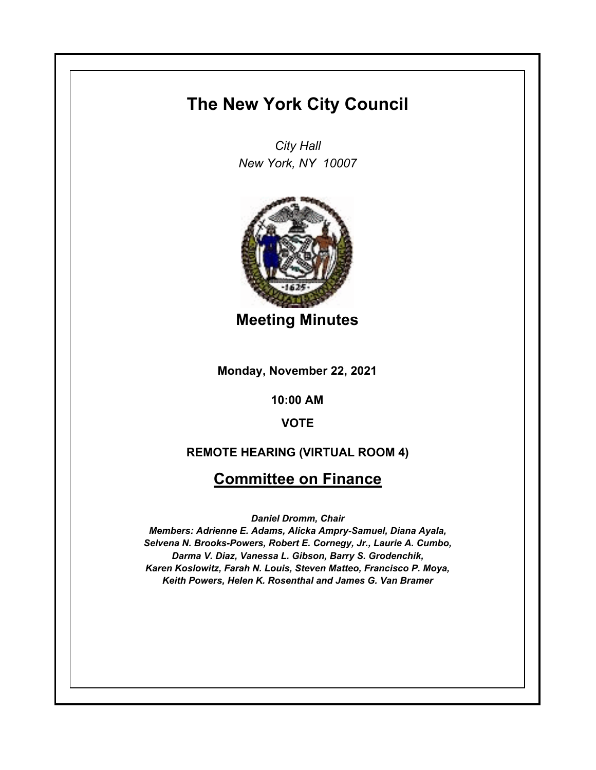# **The New York City Council**

*City Hall New York, NY 10007*



**Meeting Minutes**

**Monday, November 22, 2021**

**10:00 AM**

**VOTE**

### **REMOTE HEARING (VIRTUAL ROOM 4)**

# **Committee on Finance**

*Daniel Dromm, Chair*

*Members: Adrienne E. Adams, Alicka Ampry-Samuel, Diana Ayala, Selvena N. Brooks-Powers, Robert E. Cornegy, Jr., Laurie A. Cumbo, Darma V. Diaz, Vanessa L. Gibson, Barry S. Grodenchik, Karen Koslowitz, Farah N. Louis, Steven Matteo, Francisco P. Moya, Keith Powers, Helen K. Rosenthal and James G. Van Bramer*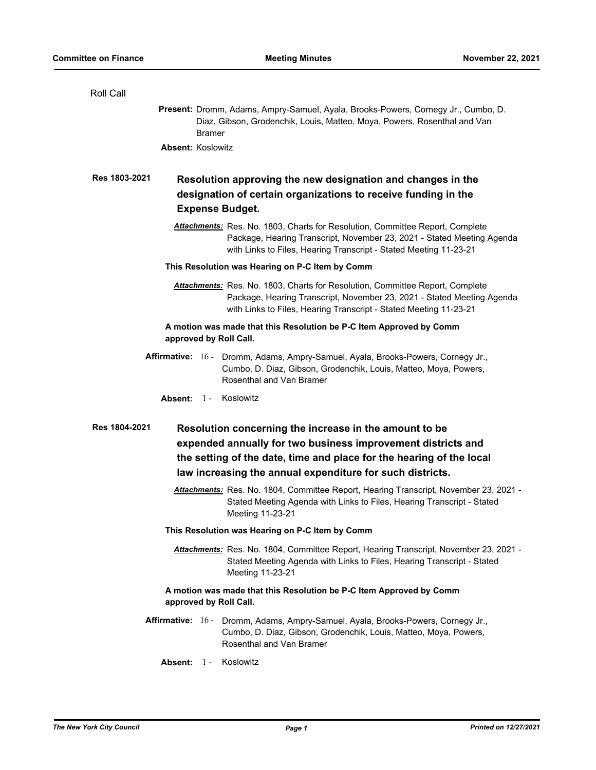Roll Call

|                                                                                                                                                                          | Present: Dromm, Adams, Ampry-Samuel, Ayala, Brooks-Powers, Cornegy Jr., Cumbo, D.<br>Diaz, Gibson, Grodenchik, Louis, Matteo, Moya, Powers, Rosenthal and Van<br><b>Bramer</b>                                                                   |  |
|--------------------------------------------------------------------------------------------------------------------------------------------------------------------------|--------------------------------------------------------------------------------------------------------------------------------------------------------------------------------------------------------------------------------------------------|--|
| <b>Absent: Koslowitz</b>                                                                                                                                                 |                                                                                                                                                                                                                                                  |  |
| Res 1803-2021<br>Resolution approving the new designation and changes in the<br>designation of certain organizations to receive funding in the<br><b>Expense Budget.</b> |                                                                                                                                                                                                                                                  |  |
|                                                                                                                                                                          | <b>Attachments:</b> Res. No. 1803, Charts for Resolution, Committee Report, Complete<br>Package, Hearing Transcript, November 23, 2021 - Stated Meeting Agenda<br>with Links to Files, Hearing Transcript - Stated Meeting 11-23-21              |  |
| This Resolution was Hearing on P-C Item by Comm                                                                                                                          |                                                                                                                                                                                                                                                  |  |
|                                                                                                                                                                          | <b>Attachments:</b> Res. No. 1803, Charts for Resolution, Committee Report, Complete<br>Package, Hearing Transcript, November 23, 2021 - Stated Meeting Agenda<br>with Links to Files, Hearing Transcript - Stated Meeting 11-23-21              |  |
|                                                                                                                                                                          | A motion was made that this Resolution be P-C Item Approved by Comm<br>approved by Roll Call.                                                                                                                                                    |  |
|                                                                                                                                                                          | Affirmative: 16 - Dromm, Adams, Ampry-Samuel, Ayala, Brooks-Powers, Cornegy Jr.,<br>Cumbo, D. Diaz, Gibson, Grodenchik, Louis, Matteo, Moya, Powers,<br>Rosenthal and Van Bramer                                                                 |  |
|                                                                                                                                                                          |                                                                                                                                                                                                                                                  |  |
|                                                                                                                                                                          | Absent: 1 - Koslowitz                                                                                                                                                                                                                            |  |
| Res 1804-2021                                                                                                                                                            | Resolution concerning the increase in the amount to be                                                                                                                                                                                           |  |
|                                                                                                                                                                          | expended annually for two business improvement districts and                                                                                                                                                                                     |  |
|                                                                                                                                                                          | the setting of the date, time and place for the hearing of the local                                                                                                                                                                             |  |
|                                                                                                                                                                          | law increasing the annual expenditure for such districts.<br>Attachments: Res. No. 1804, Committee Report, Hearing Transcript, November 23, 2021 -<br>Stated Meeting Agenda with Links to Files, Hearing Transcript - Stated<br>Meeting 11-23-21 |  |
|                                                                                                                                                                          | This Resolution was Hearing on P-C Item by Comm                                                                                                                                                                                                  |  |
|                                                                                                                                                                          | Attachments: Res. No. 1804, Committee Report, Hearing Transcript, November 23, 2021 -<br>Stated Meeting Agenda with Links to Files, Hearing Transcript - Stated<br>Meeting 11-23-21                                                              |  |
|                                                                                                                                                                          | A motion was made that this Resolution be P-C Item Approved by Comm<br>approved by Roll Call.                                                                                                                                                    |  |
|                                                                                                                                                                          | Affirmative: 16 - Dromm, Adams, Ampry-Samuel, Ayala, Brooks-Powers, Cornegy Jr.,<br>Cumbo, D. Diaz, Gibson, Grodenchik, Louis, Matteo, Moya, Powers,<br>Rosenthal and Van Bramer                                                                 |  |